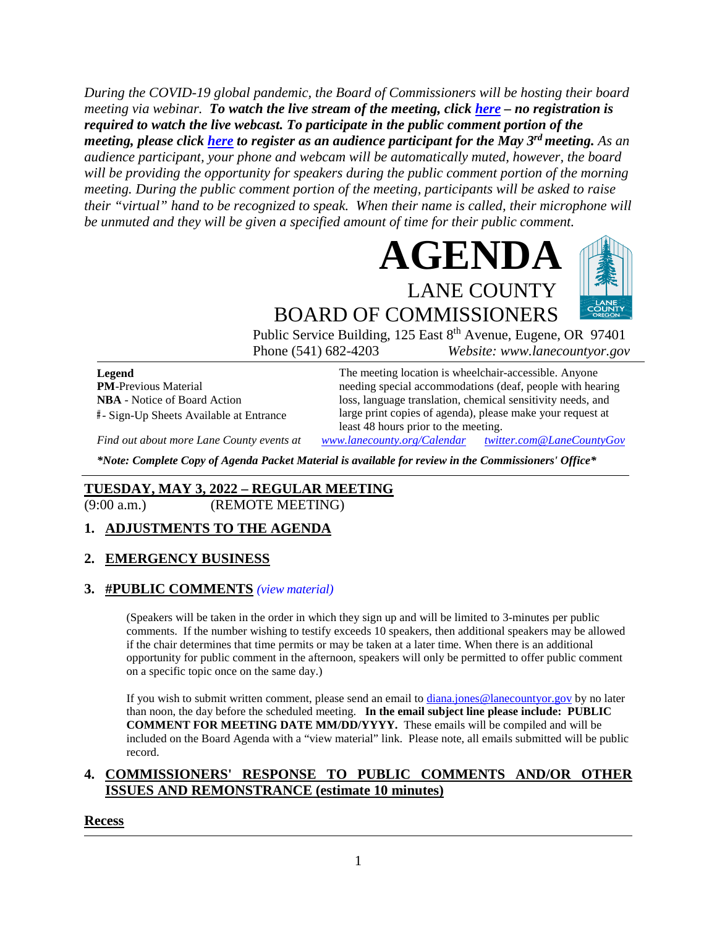*During the COVID-19 global pandemic, the Board of Commissioners will be hosting their board meeting via webinar. To watch the live stream of the meeting, click [here](https://lanecounty.org/cms/One.aspx?portalId=3585881&pageId=7842434) – no registration is required to watch the live webcast. To participate in the public comment portion of the meeting, please click [here](https://us06web.zoom.us/webinar/register/WN_wl1qcwoSQ9eZrXCKd4jQiA) to register as an audience participant for the May 3rd meeting. As an audience participant, your phone and webcam will be automatically muted, however, the board will be providing the opportunity for speakers during the public comment portion of the morning meeting. During the public comment portion of the meeting, participants will be asked to raise their "virtual" hand to be recognized to speak. When their name is called, their microphone will be unmuted and they will be given a specified amount of time for their public comment.* 





Public Service Building, 125 East 8<sup>th</sup> Avenue, Eugene, OR 97401 Phone (541) 682-4203 *Website: www.lanecountyor.gov*

**Legend PM**-Previous Material **NBA** - Notice of Board Action **#** - Sign-Up Sheets Available at Entrance The meeting location is wheelchair-accessible. Anyone needing special accommodations (deaf, people with hearing loss, language translation, chemical sensitivity needs, and large print copies of agenda), please make your request at least 48 hours prior to the meeting.

*Find out about more Lane County events at [www.lanecounty.org/Calendar](http://www.lanecounty.org/Calendar) [twitter.com@LaneCountyGov](https://twitter.com/lanecountygov?lang=en)*

*\*Note: Complete Copy of Agenda Packet Material is available for review in the Commissioners' Office\**

# **TUESDAY, MAY 3, 2022 – REGULAR MEETING**

(9:00 a.m.) (REMOTE MEETING)

## **1. ADJUSTMENTS TO THE AGENDA**

#### **2. EMERGENCY BUSINESS**

#### **3. #PUBLIC COMMENTS** *(view [material\)](http://www.lanecountyor.gov/UserFiles/Servers/Server_3585797/File/Government/BCC/2022/2022_AGENDAS/050322agenda/T.3.pdf)*

(Speakers will be taken in the order in which they sign up and will be limited to 3-minutes per public comments. If the number wishing to testify exceeds 10 speakers, then additional speakers may be allowed if the chair determines that time permits or may be taken at a later time. When there is an additional opportunity for public comment in the afternoon, speakers will only be permitted to offer public comment on a specific topic once on the same day.)

If you wish to submit written comment, please send an email to [diana.jones@lanecountyor.gov](mailto:diana.jones@lanecountyor.gov) by no later than noon, the day before the scheduled meeting. **In the email subject line please include: PUBLIC COMMENT FOR MEETING DATE MM/DD/YYYY.** These emails will be compiled and will be included on the Board Agenda with a "view material" link. Please note, all emails submitted will be public record.

## **4. COMMISSIONERS' RESPONSE TO PUBLIC COMMENTS AND/OR OTHER ISSUES AND REMONSTRANCE (estimate 10 minutes)**

#### **Recess**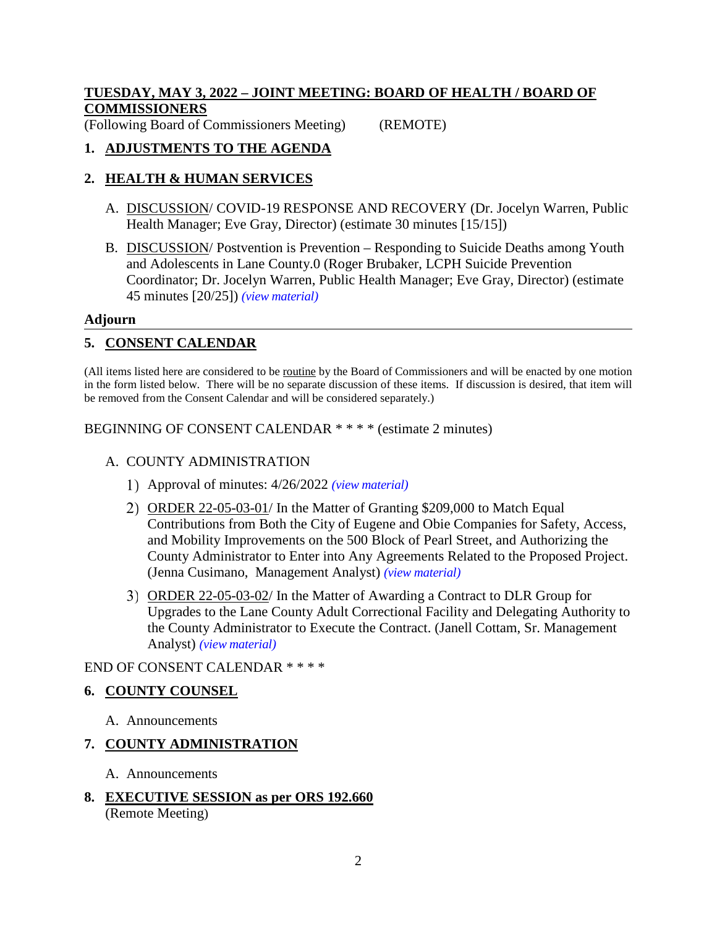## **TUESDAY, MAY 3, 2022 – JOINT MEETING: BOARD OF HEALTH / BOARD OF COMMISSIONERS**

(Following Board of Commissioners Meeting) (REMOTE)

## **1. ADJUSTMENTS TO THE AGENDA**

## **2. HEALTH & HUMAN SERVICES**

- A. DISCUSSION/ COVID-19 RESPONSE AND RECOVERY (Dr. Jocelyn Warren, Public Health Manager; Eve Gray, Director) (estimate 30 minutes [15/15])
- B. DISCUSSION/ Postvention is Prevention Responding to Suicide Deaths among Youth and Adolescents in Lane County.0 (Roger Brubaker, LCPH Suicide Prevention Coordinator; Dr. Jocelyn Warren, Public Health Manager; Eve Gray, Director) (estimate 45 minutes [20/25]) *(view [material\)](http://www.lanecountyor.gov/UserFiles/Servers/Server_3585797/File/Government/BCC/2022/2022_AGENDAS/050322agenda/T.2.B.pdf)*

#### **Adjourn**

## **5. CONSENT CALENDAR**

(All items listed here are considered to be routine by the Board of Commissioners and will be enacted by one motion in the form listed below. There will be no separate discussion of these items. If discussion is desired, that item will be removed from the Consent Calendar and will be considered separately.)

BEGINNING OF CONSENT CALENDAR \* \* \* \* (estimate 2 minutes)

#### A. COUNTY ADMINISTRATION

- Approval of minutes: 4/26/2022 *(view [material\)](http://www.lanecountyor.gov/UserFiles/Servers/Server_3585797/File/Government/BCC/2022/2022_AGENDAS/050322agenda/T.5.A.1.pdf)*
- 2) ORDER 22-05-03-01/ In the Matter of Granting \$209,000 to Match Equal Contributions from Both the City of Eugene and Obie Companies for Safety, Access, and Mobility Improvements on the 500 Block of Pearl Street, and Authorizing the County Administrator to Enter into Any Agreements Related to the Proposed Project. (Jenna Cusimano, Management Analyst) *(view [material\)](http://www.lanecountyor.gov/UserFiles/Servers/Server_3585797/File/Government/BCC/2022/2022_AGENDAS/050322agenda/T.5.A.2.pdf)*
- ORDER 22-05-03-02/ In the Matter of Awarding a Contract to DLR Group for Upgrades to the Lane County Adult Correctional Facility and Delegating Authority to the County Administrator to Execute the Contract. (Janell Cottam, Sr. Management Analyst) *(view [material\)](http://www.lanecountyor.gov/UserFiles/Servers/Server_3585797/File/Government/BCC/2022/2022_AGENDAS/050322agenda/T.5.A.3.pdf)*

#### END OF CONSENT CALENDAR \* \* \* \*

## **6. COUNTY COUNSEL**

A. Announcements

## **7. COUNTY ADMINISTRATION**

- A. Announcements
- **8. EXECUTIVE SESSION as per ORS 192.660** (Remote Meeting)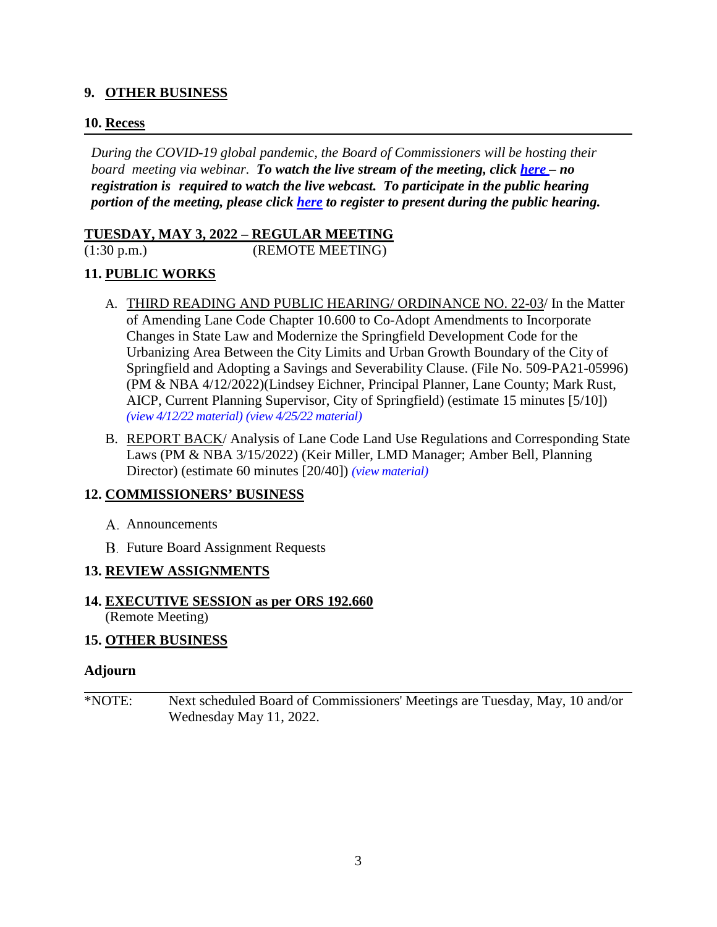#### **9. OTHER BUSINESS**

#### **10. Recess**

*During the COVID-19 global pandemic, the Board of Commissioners will be hosting their board meeting via webinar. To watch the live stream of the meeting, click [here](https://lanecounty.org/cms/One.aspx?portalId=3585881&pageId=7842434) – no registration is required to watch the live webcast. To participate in the public hearing portion of the meeting, please click [here](https://us06web.zoom.us/webinar/register/WN_nlGsfNNhQbKLFlswmUYz4A) to register to present during the public hearing.*

#### **TUESDAY, MAY 3, 2022 – REGULAR MEETING**

(1:30 p.m.) (REMOTE MEETING)

## **11. PUBLIC WORKS**

- A. THIRD READING AND PUBLIC HEARING/ ORDINANCE NO. 22-03/ In the Matter of Amending Lane Code Chapter 10.600 to Co-Adopt Amendments to Incorporate Changes in State Law and Modernize the Springfield Development Code for the Urbanizing Area Between the City Limits and Urban Growth Boundary of the City of Springfield and Adopting a Savings and Severability Clause. (File No. 509-PA21-05996) (PM & NBA 4/12/2022)(Lindsey Eichner, Principal Planner, Lane County; Mark Rust, AICP, Current Planning Supervisor, City of Springfield) (estimate 15 minutes [5/10]) *(view [4/12/22 material\)](http://www.lanecountyor.gov/UserFiles/Servers/Server_3585797/File/Government/BCC/2022/2022_AGENDAS/041222agenda/T.13.B.pdf) (view [4/25/22 material\)](http://www.lanecountyor.gov/UserFiles/Servers/Server_3585797/File/Government/BCC/2022/2022_AGENDAS/042622agenda/M.1.A.pdf)*
- B. REPORT BACK/ Analysis of Lane Code Land Use Regulations and Corresponding State Laws (PM & NBA 3/15/2022) (Keir Miller, LMD Manager; Amber Bell, Planning Director) (estimate 60 minutes [20/40]) *(view [material\)](http://www.lanecountyor.gov/UserFiles/Servers/Server_3585797/File/Government/BCC/2022/2022_AGENDAS/050322agenda/T.11.B.pdf)*

## **12. COMMISSIONERS' BUSINESS**

- A. Announcements
- **B.** Future Board Assignment Requests

#### **13. REVIEW ASSIGNMENTS**

## **14. EXECUTIVE SESSION as per ORS 192.660**

(Remote Meeting)

## **15. OTHER BUSINESS**

#### **Adjourn**

\*NOTE: Next scheduled Board of Commissioners' Meetings are Tuesday, May, 10 and/or Wednesday May 11, 2022.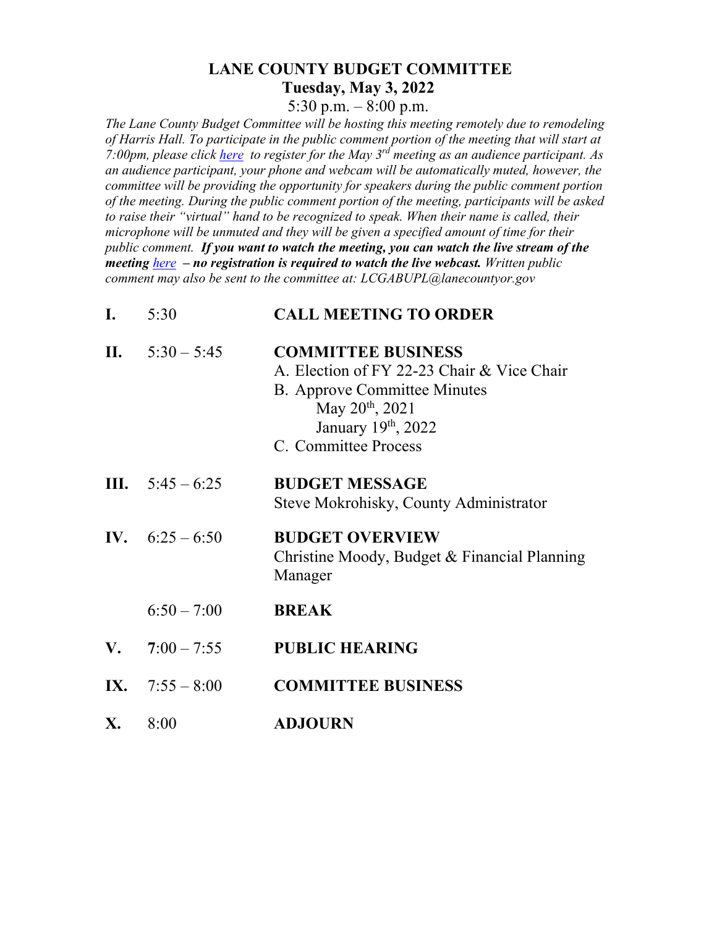## **LANE COUNTY BUDGET COMMITTEE Tuesday, May 3, 2022**

5:30 p.m.  $-8:00$  p.m.

*The Lane County Budget Committee will be hosting this meeting remotely due to remodeling of Harris Hall. To participate in the public comment portion of the meeting that will start at 7:00pm, please click [here](https://gcc02.safelinks.protection.outlook.com/?url=https%3A%2F%2Flanecounty.wufoo.com%2Fforms%2Flane-county-budget-committee-may-3-2022%2F&data=04%7C01%7CTawnya.ELLIS%40lanecountyor.gov%7Cc286f1d30273405d6f7c08da119ed8f1%7C74df5a22826e49429a741d199974dedf%7C0%7C0%7C637841671201769825%7CUnknown%7CTWFpbGZsb3d8eyJWIjoiMC4wLjAwMDAiLCJQIjoiV2luMzIiLCJBTiI6Ik1haWwiLCJXVCI6Mn0%3D%7C3000&sdata=usB9ANN%2BcX%2B%2B5h%2BdVla6km715V0bd598sL5QBo8TvM4%3D&reserved=0) to register for the May 3rd meeting as an audience participant. As an audience participant, your phone and webcam will be automatically muted, however, the committee will be providing the opportunity for speakers during the public comment portion of the meeting. During the public comment portion of the meeting, participants will be asked to raise their "virtual" hand to be recognized to speak. When their name is called, their microphone will be unmuted and they will be given a specified amount of time for their public comment. If you want to watch the meeting, you can watch the live stream of the meeting [here](https://lanecounty.org/cms/One.aspx?portalId=3585881&pageId=7842434) – no registration is required to watch the live webcast. Written public comment may also be sent to the committee at: LCGABUPL@lanecountyor.gov*

| I. | 5:30                      | <b>CALL MEETING TO ORDER</b>                                                                                                                                                                |
|----|---------------------------|---------------------------------------------------------------------------------------------------------------------------------------------------------------------------------------------|
|    | II. $5:30 - 5:45$         | <b>COMMITTEE BUSINESS</b><br>A. Election of FY 22-23 Chair & Vice Chair<br><b>B.</b> Approve Committee Minutes<br>May 20 <sup>th</sup> , 2021<br>January 19th, 2022<br>C. Committee Process |
|    | <b>III.</b> $5:45 - 6:25$ | <b>BUDGET MESSAGE</b><br>Steve Mokrohisky, County Administrator                                                                                                                             |
|    | IV. $6:25-6:50$           | <b>BUDGET OVERVIEW</b><br>Christine Moody, Budget & Financial Planning<br>Manager                                                                                                           |
|    | $6:50 - 7:00$             | <b>BREAK</b>                                                                                                                                                                                |
|    | <b>V.</b> $7:00-7:55$     | <b>PUBLIC HEARING</b>                                                                                                                                                                       |
|    | IX. $7:55 - 8:00$         | <b>COMMITTEE BUSINESS</b>                                                                                                                                                                   |
|    |                           |                                                                                                                                                                                             |

**X.** 8:00 **ADJOURN**